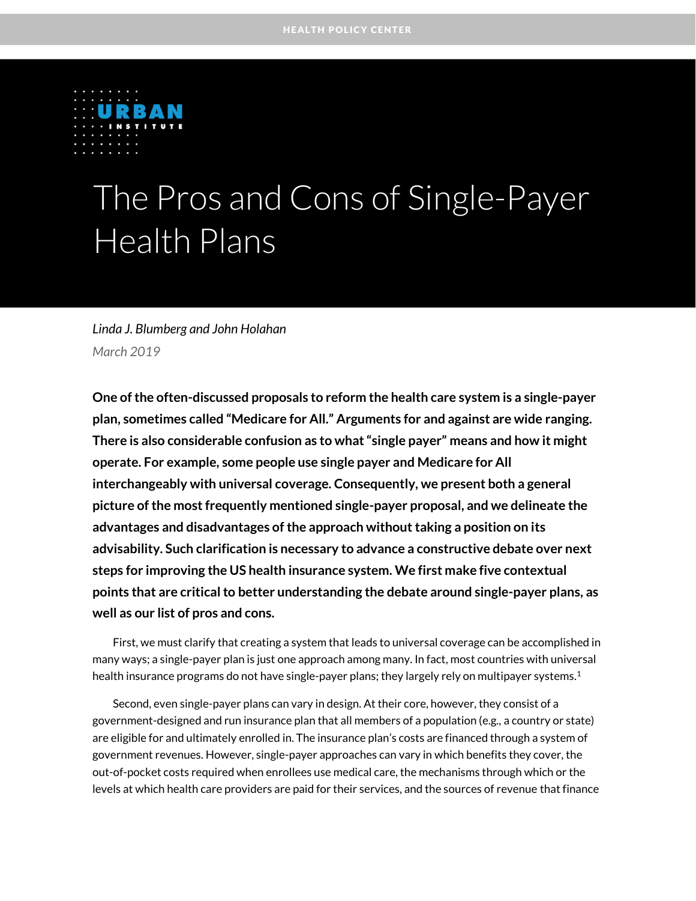

# The Pros and Cons of Single-Payer Health Plans

#### *Linda J. Blumberg and John Holahan March 2019*

**One of the often-discussed proposals to reform the health care system is a single-payer plan, sometimes called "Medicare for All." Arguments for and against are wide ranging. There is also considerable confusion as to what "single payer" means and how it might operate. For example, some people use single payer and Medicare for All interchangeably with universal coverage. Consequently, we present both a general picture of the most frequently mentioned single-payer proposal, and we delineate the advantages and disadvantages of the approach without taking a position on its advisability. Such clarification is necessary to advance a constructive debate over next steps for improving the US health insurance system. We first make five contextual points that are critical to better understanding the debate around single-payer plans, as well as our list of pros and cons.** 

First, we must clarify that creating a system that leads to universal coverage can be accomplished in many ways; a single-payer plan is just one approach among many. In fact, most countries with universal health insurance programs do not have single-payer plans; they largely rely on multipayer systems. 1

Second, even single-payer plans can vary in design. At their core, however, they consist of a government-designed and run insurance plan that all members of a population (e.g., a country or state) are eligible for and ultimately enrolled in. The insurance plan's costs are financed through a system of government revenues. However, single-payer approaches can vary in which benefits they cover, the out-of-pocket costs required when enrollees use medical care, the mechanisms through which or the levels at which health care providers are paid for their services, and the sources of revenue that finance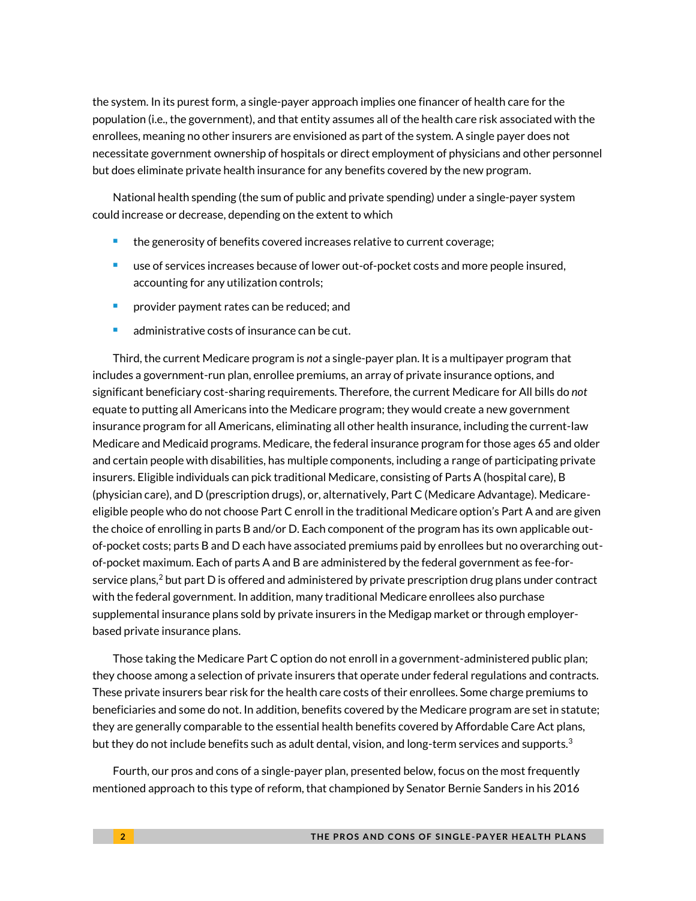the system. In its purest form, a single-payer approach implies one financer of health care for the population (i.e., the government), and that entity assumes all of the health care risk associated with the enrollees, meaning no other insurers are envisioned as part of the system. A single payer does not necessitate government ownership of hospitals or direct employment of physicians and other personnel but does eliminate private health insurance for any benefits covered by the new program.

National health spending (the sum of public and private spending) under a single-payer system could increase or decrease, depending on the extent to which

- **the generosity of benefits covered increases relative to current coverage;**
- use of services increases because of lower out-of-pocket costs and more people insured, accounting for any utilization controls;
- **Part Provider payment rates can be reduced; and**
- **administrative costs of insurance can be cut.**

Third, the current Medicare program is *not* a single-payer plan. It is a multipayer program that includes a government-run plan, enrollee premiums, an array of private insurance options, and significant beneficiary cost-sharing requirements. Therefore, the current Medicare for All bills do *not* equate to putting all Americans into the Medicare program; they would create a new government insurance program for all Americans, eliminating all other health insurance, including the current-law Medicare and Medicaid programs. Medicare, the federal insurance program for those ages 65 and older and certain people with disabilities, has multiple components, including a range of participating private insurers. Eligible individuals can pick traditional Medicare, consisting of Parts A (hospital care), B (physician care), and D (prescription drugs), or, alternatively, Part C (Medicare Advantage). Medicareeligible people who do not choose Part C enroll in the traditional Medicare option's Part A and are given the choice of enrolling in parts B and/or D. Each component of the program has its own applicable outof-pocket costs; parts B and D each have associated premiums paid by enrollees but no overarching outof-pocket maximum. Each of parts A and B are administered by the federal government as fee-forservice plans,<sup>2</sup> but part D is offered and administered by private prescription drug plans under contract with the federal government. In addition, many traditional Medicare enrollees also purchase supplemental insurance plans sold by private insurers in the Medigap market or through employerbased private insurance plans.

Those taking the Medicare Part C option do not enroll in a government-administered public plan; they choose among a selection of private insurers that operate under federal regulations and contracts. These private insurers bear risk for the health care costs of their enrollees. Some charge premiums to beneficiaries and some do not. In addition, benefits covered by the Medicare program are set in statute; they are generally comparable to the essential health benefits covered by Affordable Care Act plans, but they do not include benefits such as adult dental, vision, and long-term services and supports. $^3$ 

Fourth, our pros and cons of a single-payer plan, presented below, focus on the most frequently mentioned approach to this type of reform, that championed by Senator Bernie Sanders in his 2016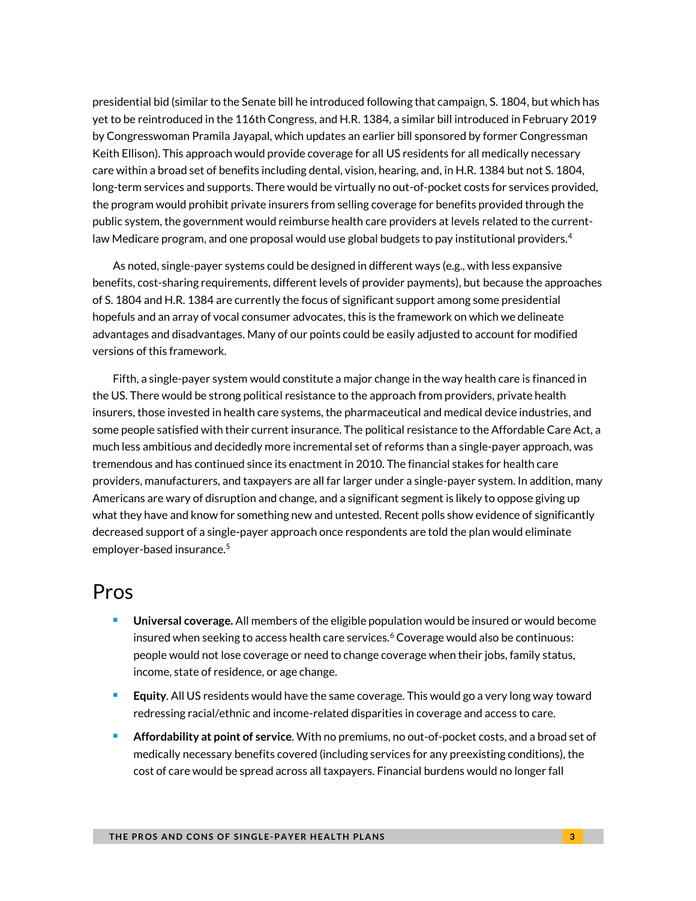presidential bid (similar to the Senate bill he introduced following that campaign, S. 1804, but which has yet to be reintroduced in the 116th Congress, and H.R. 1384, a similar bill introduced in February 2019 by Congresswoman Pramila Jayapal, which updates an earlier bill sponsored by former Congressman Keith Ellison). This approach would provide coverage for all US residents for all medically necessary care within a broad set of benefits including dental, vision, hearing, and, in H.R. 1384 but not S. 1804, long-term services and supports. There would be virtually no out-of-pocket costs for services provided, the program would prohibit private insurers from selling coverage for benefits provided through the public system, the government would reimburse health care providers at levels related to the currentlaw Medicare program, and one proposal would use global budgets to pay institutional providers. 4

As noted, single-payer systems could be designed in different ways (e.g., with less expansive benefits, cost-sharing requirements, different levels of provider payments), but because the approaches of S. 1804 and H.R. 1384 are currently the focus of significant support among some presidential hopefuls and an array of vocal consumer advocates, this is the framework on which we delineate advantages and disadvantages. Many of our points could be easily adjusted to account for modified versions of this framework.

Fifth, a single-payer system would constitute a major change in the way health care is financed in the US. There would be strong political resistance to the approach from providers, private health insurers, those invested in health care systems, the pharmaceutical and medical device industries, and some people satisfied with their current insurance. The political resistance to the Affordable Care Act, a much less ambitious and decidedly more incremental set of reforms than a single-payer approach, was tremendous and has continued since its enactment in 2010. The financial stakes for health care providers, manufacturers, and taxpayers are all far larger under a single-payer system. In addition, many Americans are wary of disruption and change, and a significant segment is likely to oppose giving up what they have and know for something new and untested. Recent polls show evidence of significantly decreased support of a single-payer approach once respondents are told the plan would eliminate employer-based insurance.<sup>5</sup>

#### Pros

- **Universal coverage.** All members of the eligible population would be insured or would become insured when seeking to access health care services.<sup>6</sup> Coverage would also be continuous: people would not lose coverage or need to change coverage when their jobs, family status, income, state of residence, or age change.
- **Equity**. All US residents would have the same coverage. This would go a very long way toward redressing racial/ethnic and income-related disparities in coverage and access to care.
- **Affordability at point of service**. With no premiums, no out-of-pocket costs, and a broad set of medically necessary benefits covered (including services for any preexisting conditions), the cost of care would be spread across all taxpayers. Financial burdens would no longer fall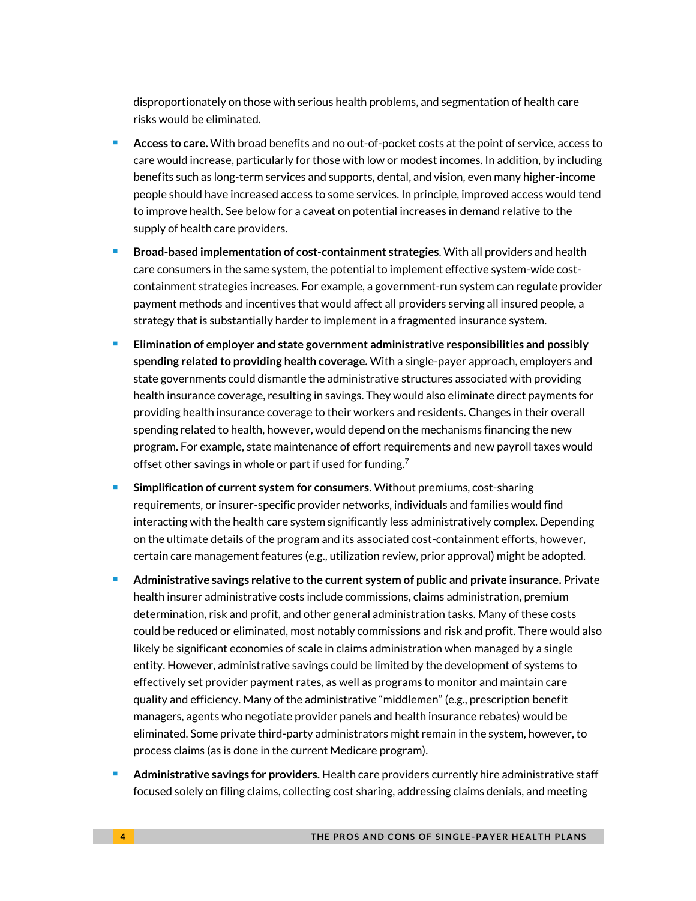disproportionately on those with serious health problems, and segmentation of health care risks would be eliminated.

- **Access to care.** With broad benefits and no out-of-pocket costs at the point of service, access to care would increase, particularly for those with low or modest incomes. In addition, by including benefits such as long-term services and supports, dental, and vision, even many higher-income people should have increased access to some services. In principle, improved access would tend to improve health. See below for a caveat on potential increases in demand relative to the supply of health care providers.
- **Broad-based implementation of cost-containment strategies**. With all providers and health care consumers in the same system, the potential to implement effective system-wide costcontainment strategies increases. For example, a government-run system can regulate provider payment methods and incentives that would affect all providers serving all insured people, a strategy that is substantially harder to implement in a fragmented insurance system.
- **Elimination of employer and state government administrative responsibilities and possibly spending related to providing health coverage.** With a single-payer approach, employers and state governments could dismantle the administrative structures associated with providing health insurance coverage, resulting in savings. They would also eliminate direct payments for providing health insurance coverage to their workers and residents. Changes in their overall spending related to health, however, would depend on the mechanisms financing the new program. For example, state maintenance of effort requirements and new payroll taxes would offset other savings in whole or part if used for funding.<sup>7</sup>
- **Simplification of current system for consumers.** Without premiums, cost-sharing requirements, or insurer-specific provider networks, individuals and families would find interacting with the health care system significantly less administratively complex. Depending on the ultimate details of the program and its associated cost-containment efforts, however, certain care management features (e.g., utilization review, prior approval) might be adopted.
- **Administrative savings relative to the current system of public and private insurance.** Private health insurer administrative costs include commissions, claims administration, premium determination, risk and profit, and other general administration tasks. Many of these costs could be reduced or eliminated, most notably commissions and risk and profit. There would also likely be significant economies of scale in claims administration when managed by a single entity. However, administrative savings could be limited by the development of systems to effectively set provider payment rates, as well as programs to monitor and maintain care quality and efficiency. Many of the administrative "middlemen" (e.g., prescription benefit managers, agents who negotiate provider panels and health insurance rebates) would be eliminated. Some private third-party administrators might remain in the system, however, to process claims (as is done in the current Medicare program).
- **Administrative savings for providers.** Health care providers currently hire administrative staff focused solely on filing claims, collecting cost sharing, addressing claims denials, and meeting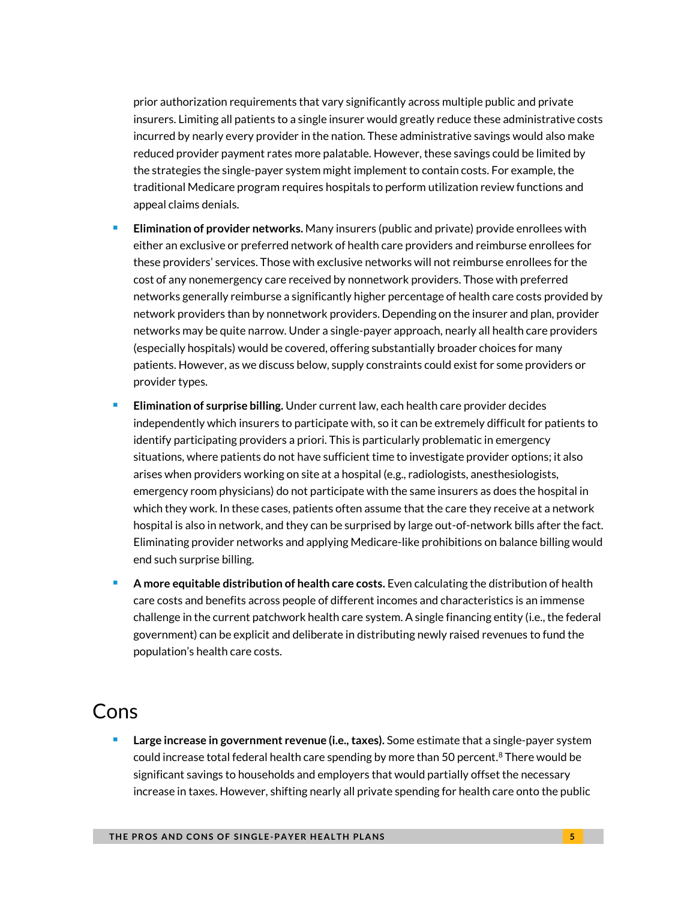prior authorization requirements that vary significantly across multiple public and private insurers. Limiting all patients to a single insurer would greatly reduce these administrative costs incurred by nearly every provider in the nation. These administrative savings would also make reduced provider payment rates more palatable. However, these savings could be limited by the strategies the single-payer system might implement to contain costs. For example, the traditional Medicare program requires hospitals to perform utilization review functions and appeal claims denials.

- **Elimination of provider networks.** Many insurers (public and private) provide enrollees with either an exclusive or preferred network of health care providers and reimburse enrollees for these providers' services. Those with exclusive networks will not reimburse enrollees for the cost of any nonemergency care received by nonnetwork providers. Those with preferred networks generally reimburse a significantly higher percentage of health care costs provided by network providers than by nonnetwork providers. Depending on the insurer and plan, provider networks may be quite narrow. Under a single-payer approach, nearly all health care providers (especially hospitals) would be covered, offering substantially broader choices for many patients. However, as we discuss below, supply constraints could exist for some providers or provider types.
- **Elimination of surprise billing.** Under current law, each health care provider decides independently which insurers to participate with, so it can be extremely difficult for patients to identify participating providers a priori. This is particularly problematic in emergency situations, where patients do not have sufficient time to investigate provider options; it also arises when providers working on site at a hospital (e.g., radiologists, anesthesiologists, emergency room physicians) do not participate with the same insurers as does the hospital in which they work. In these cases, patients often assume that the care they receive at a network hospital is also in network, and they can be surprised by large out-of-network bills after the fact. Eliminating provider networks and applying Medicare-like prohibitions on balance billing would end such surprise billing.
- **A more equitable distribution of health care costs.** Even calculating the distribution of health care costs and benefits across people of different incomes and characteristics is an immense challenge in the current patchwork health care system. A single financing entity (i.e., the federal government) can be explicit and deliberate in distributing newly raised revenues to fund the population's health care costs.

## Cons

 **Large increase in government revenue (i.e., taxes).** Some estimate that a single-payer system could increase total federal health care spending by more than 50 percent. ${}^{8}$  There would be significant savings to households and employers that would partially offset the necessary increase in taxes. However, shifting nearly all private spending for health care onto the public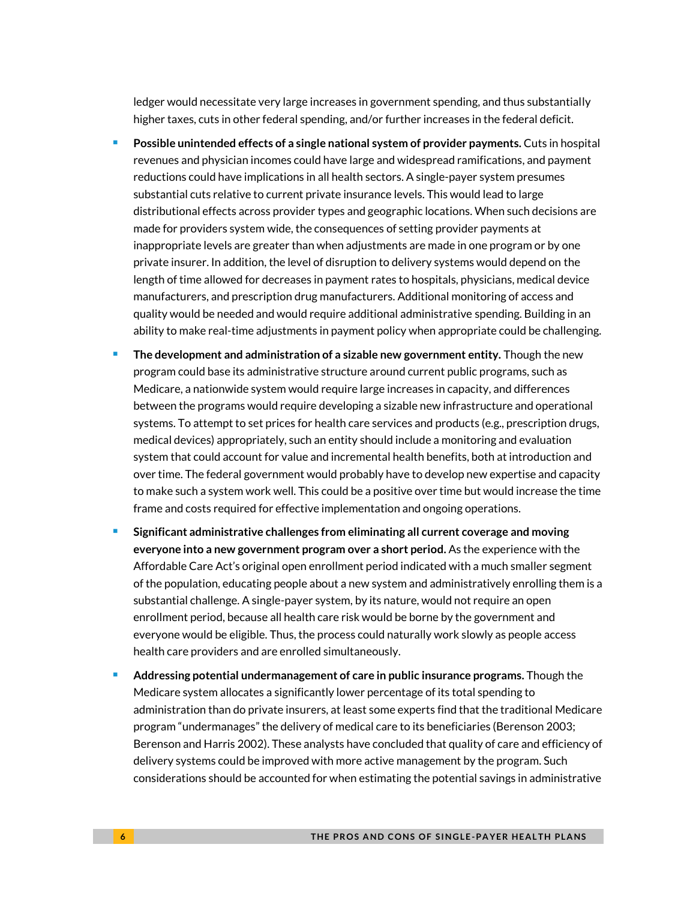ledger would necessitate very large increases in government spending, and thus substantially higher taxes, cuts in other federal spending, and/or further increases in the federal deficit.

- **Possible unintended effects of a single national system of provider payments.** Cuts in hospital revenues and physician incomes could have large and widespread ramifications, and payment reductions could have implications in all health sectors. A single-payer system presumes substantial cuts relative to current private insurance levels. This would lead to large distributional effects across provider types and geographic locations. When such decisions are made for providers system wide, the consequences of setting provider payments at inappropriate levels are greater than when adjustments are made in one program or by one private insurer. In addition, the level of disruption to delivery systems would depend on the length of time allowed for decreases in payment rates to hospitals, physicians, medical device manufacturers, and prescription drug manufacturers. Additional monitoring of access and quality would be needed and would require additional administrative spending. Building in an ability to make real-time adjustments in payment policy when appropriate could be challenging.
- **The development and administration of a sizable new government entity.** Though the new program could base its administrative structure around current public programs, such as Medicare, a nationwide system would require large increases in capacity, and differences between the programs would require developing a sizable new infrastructure and operational systems. To attempt to set prices for health care services and products (e.g., prescription drugs, medical devices) appropriately, such an entity should include a monitoring and evaluation system that could account for value and incremental health benefits, both at introduction and over time. The federal government would probably have to develop new expertise and capacity to make such a system work well. This could be a positive over time but would increase the time frame and costs required for effective implementation and ongoing operations.
- **Significant administrative challenges from eliminating all current coverage and moving everyone into a new government program over a short period.** As the experience with the Affordable Care Act's original open enrollment period indicated with a much smaller segment of the population, educating people about a new system and administratively enrolling them is a substantial challenge. A single-payer system, by its nature, would not require an open enrollment period, because all health care risk would be borne by the government and everyone would be eligible. Thus, the process could naturally work slowly as people access health care providers and are enrolled simultaneously.
- **Addressing potential undermanagement of care in public insurance programs.** Though the Medicare system allocates a significantly lower percentage of its total spending to administration than do private insurers, at least some experts find that the traditional Medicare program "undermanages" the delivery of medical care to its beneficiaries (Berenson 2003; Berenson and Harris 2002). These analysts have concluded that quality of care and efficiency of delivery systems could be improved with more active management by the program. Such considerations should be accounted for when estimating the potential savings in administrative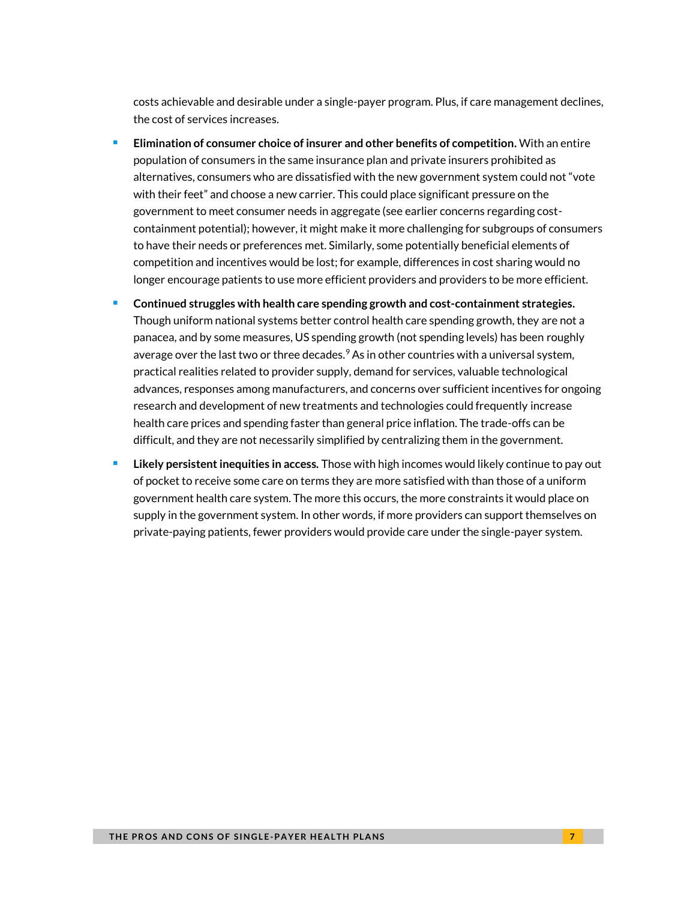costs achievable and desirable under a single-payer program. Plus, if care management declines, the cost of services increases.

- **Elimination of consumer choice of insurer and other benefits of competition.** With an entire population of consumers in the same insurance plan and private insurers prohibited as alternatives, consumers who are dissatisfied with the new government system could not "vote with their feet" and choose a new carrier. This could place significant pressure on the government to meet consumer needs in aggregate (see earlier concerns regarding costcontainment potential); however, it might make it more challenging for subgroups of consumers to have their needs or preferences met. Similarly, some potentially beneficial elements of competition and incentives would be lost; for example, differences in cost sharing would no longer encourage patients to use more efficient providers and providers to be more efficient.
- **Continued struggles with health care spending growth and cost-containment strategies.** Though uniform national systems better control health care spending growth, they are not a panacea, and by some measures, US spending growth (not spending levels) has been roughly average over the last two or three decades. $9$  As in other countries with a universal system, practical realities related to provider supply, demand for services, valuable technological advances, responses among manufacturers, and concerns over sufficient incentives for ongoing research and development of new treatments and technologies could frequently increase health care prices and spending faster than general price inflation. The trade-offs can be difficult, and they are not necessarily simplified by centralizing them in the government.
- **Likely persistent inequities in access.** Those with high incomes would likely continue to pay out of pocket to receive some care on terms they are more satisfied with than those of a uniform government health care system. The more this occurs, the more constraints it would place on supply in the government system. In other words, if more providers can support themselves on private-paying patients, fewer providers would provide care under the single-payer system.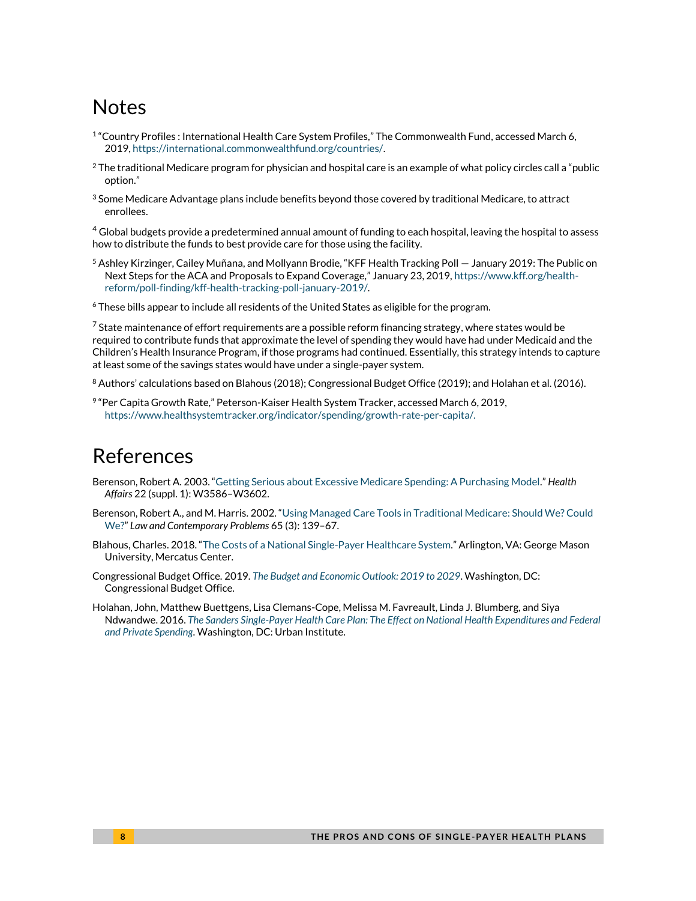# **Notes**

- 1 "Country Profiles : International Health Care System Profiles," The Commonwealth Fund, accessed March 6, 2019[, https://international.commonwealthfund.org/countries/.](https://international.commonwealthfund.org/countries/)
- $2$  The traditional Medicare program for physician and hospital care is an example of what policy circles call a "public option."
- $3$  Some Medicare Advantage plans include benefits beyond those covered by traditional Medicare, to attract enrollees.

<sup>4</sup> Global budgets provide a predetermined annual amount of funding to each hospital, leaving the hospital to assess how to distribute the funds to best provide care for those using the facility.

<sup>5</sup> Ashley Kirzinger, Cailey Muñana, and Mollyann Brodie, "KFF Health Tracking Poll — January 2019: The Public on Next Steps for the ACA and Proposals to Expand Coverage," January 23, 2019, [https://www.kff.org/health](https://www.kff.org/health-reform/poll-finding/kff-health-tracking-poll-january-2019/)[reform/poll-finding/kff-health-tracking-poll-january-2019/.](https://www.kff.org/health-reform/poll-finding/kff-health-tracking-poll-january-2019/) 

<sup>6</sup> These bills appear to include all residents of the United States as eligible for the program.

 $7$  State maintenance of effort requirements are a possible reform financing strategy, where states would be required to contribute funds that approximate the level of spending they would have had under Medicaid and the Children's Health Insurance Program, if those programs had continued. Essentially, this strategy intends to capture at least some of the savings states would have under a single-payer system.

 $8$  Authors' calculations based on Blahous (2018); Congressional Budget Office (2019); and Holahan et al. (2016).

9 "Per Capita Growth Rate," Peterson-Kaiser Health System Tracker, accessed March 6, 2019, [https://www.healthsystemtracker.org/indicator/spending/growth-rate-per-capita/.](https://www.healthsystemtracker.org/indicator/spending/growth-rate-per-capita/) 

### References

- Berenson, Robert A. 2003. "[Getting Serious about Excessive Medicare Spending: A Purchasing Model](https://www.healthaffairs.org/doi/pdf/10.1377/hlthaff.W3.586)." *Health Affairs* 22 (suppl. 1): W3586–W3602.
- Berenson, Robert A., and M. Harris. 2002. "[Using Managed Care Tools in Traditional Medicare: Should We? Could](https://www.doi.org/10.2307/1192282)  [We?](https://www.doi.org/10.2307/1192282)" *Law and Contemporary Problems* 65 (3): 139–67.
- Blahous, Charles. 2018. "[The Costs of a National Single-Payer Healthcare System](https://www.mercatus.org/system/files/blahous-costs-medicare-mercatus-working-paper-v1_1.pdf)." Arlington, VA: George Mason University, Mercatus Center.
- Congressional Budget Office. 2019. *[The Budget and Economic Outlook: 2019 to 2029](https://www.cbo.gov/system/files?file=2019-01/54918-Outlook.pdf)*. Washington, DC: Congressional Budget Office.
- Holahan, John, Matthew Buettgens, Lisa Clemans-Cope, Melissa M. Favreault, Linda J. Blumberg, and Siya Ndwandwe. 2016. *[The Sanders Single-Payer Health Care Plan: The Effect on National Health Expenditures and Federal](https://www.urban.org/research/publication/sanders-single-payer-health-care-plan-effect-national-health-expenditures-and-federal-and-private-spending)  [and Private Spending](https://www.urban.org/research/publication/sanders-single-payer-health-care-plan-effect-national-health-expenditures-and-federal-and-private-spending)*. Washington, DC: Urban Institute.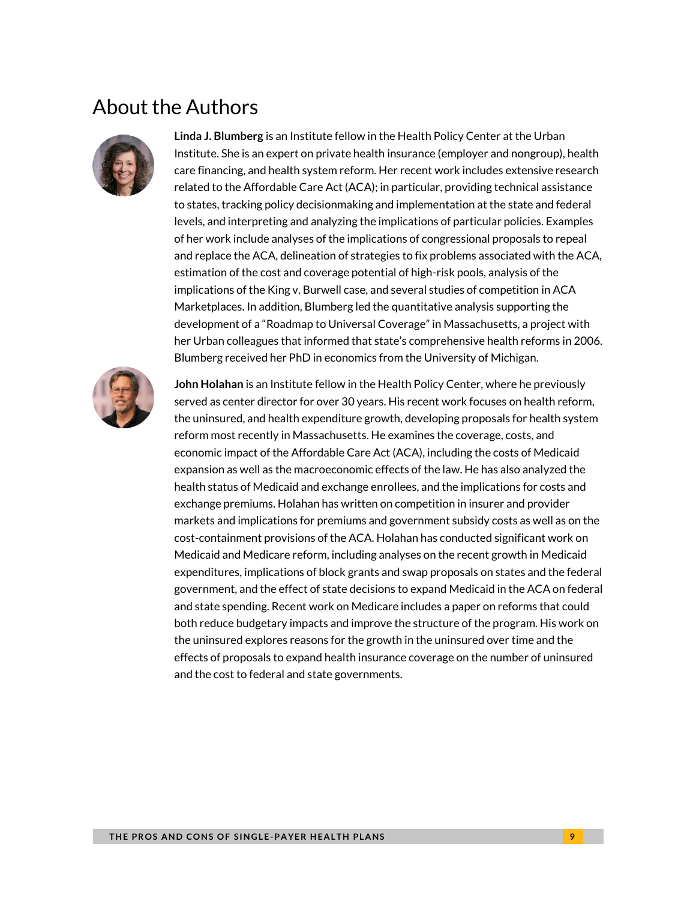# About the Authors



**Linda J. Blumberg** is an Institute fellow in the Health Policy Center at the Urban Institute. She is an expert on private health insurance (employer and nongroup), health care financing, and health system reform. Her recent work includes extensive research related to the Affordable Care Act (ACA); in particular, providing technical assistance to states, tracking policy decisionmaking and implementation at the state and federal levels, and interpreting and analyzing the implications of particular policies. Examples of her work include analyses of the implications of congressional proposals to repeal and replace the ACA, delineation of strategies to fix problems associated with the ACA, estimation of the cost and coverage potential of high-risk pools, analysis of the implications of the King v. Burwell case, and several studies of competition in ACA Marketplaces. In addition, Blumberg led the quantitative analysis supporting the development of a "Roadmap to Universal Coverage" in Massachusetts, a project with her Urban colleagues that informed that state's comprehensive health reforms in 2006. Blumberg received her PhD in economics from the University of Michigan.



**John Holahan** is an Institute fellow in the Health Policy Center, where he previously served as center director for over 30 years. His recent work focuses on health reform, the uninsured, and health expenditure growth, developing proposals for health system reform most recently in Massachusetts. He examines the coverage, costs, and economic impact of the Affordable Care Act (ACA), including the costs of Medicaid expansion as well as the macroeconomic effects of the law. He has also analyzed the health status of Medicaid and exchange enrollees, and the implications for costs and exchange premiums. Holahan has written on competition in insurer and provider markets and implications for premiums and government subsidy costs as well as on the cost-containment provisions of the ACA. Holahan has conducted significant work on Medicaid and Medicare reform, including analyses on the recent growth in Medicaid expenditures, implications of block grants and swap proposals on states and the federal government, and the effect of state decisions to expand Medicaid in the ACA on federal and state spending. Recent work on Medicare includes a paper on reforms that could both reduce budgetary impacts and improve the structure of the program. His work on the uninsured explores reasons for the growth in the uninsured over time and the effects of proposals to expand health insurance coverage on the number of uninsured and the cost to federal and state governments.